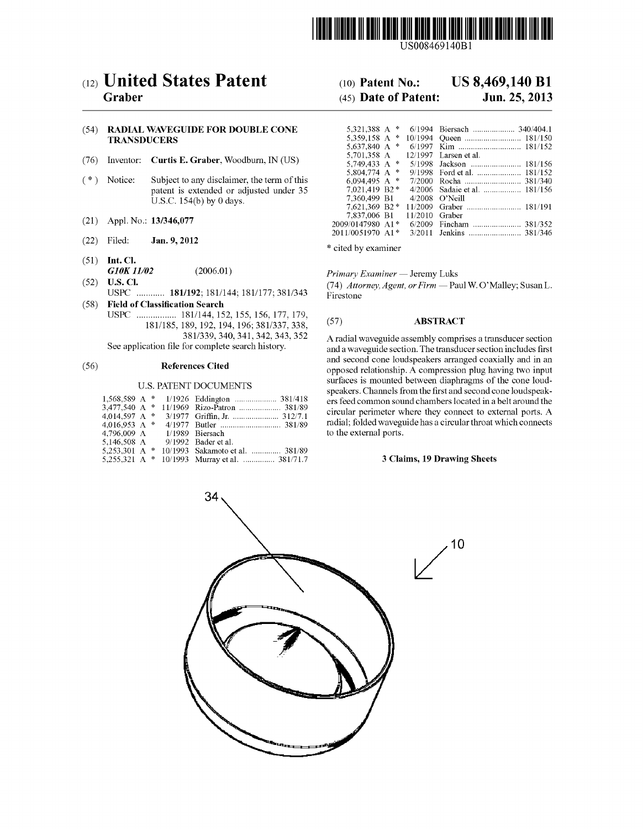

US008469140B1

# (12) United States Patent (10) Patent No.: US 8,469,140 B1<br>Graber (45) Date of Patent: Jun. 25, 2013

### (54) RADIAL WAVEGUIDE FOR DOUBLE CONE TRANSDUCERS

- (76) Inventor: Curtis E. Graber, Woodburn, IN (US)
- (\*) Notice: Subject to any disclaimer, the term of this 6,094.495 A \* 7/2000 Rocha ......... ... 381 340 patent is extended or adjusted under 35 U.S.C.  $154(b)$  by 0 days.
- $(21)$  Appl. No.:  $13/346,077$
- (22) Filed: **Jan. 9, 2012** \* cited by examiner
- (51) Int. Cl.<br> $G10K11/02$ **G10K 11/02** (2006.01) Primary Examiner — Jeremy Luks<br> **U.S. Cl.** (74) Attorney Agent or Firm — Pa
- USPC ............ 181/192; 181/144; 181/177; 381/343
- (58) Field of Classification Search<br>USPC ................... 181/144, 152, 155, 156, 177, 179,  $181/185$ , 189, 192, 194, 196; 381/337, 338, (57) **ABSTRACT**<br>381/339, 340, 341, 342, 343, 352 **A** radial wavequide assembly compri

### U.S. PATENT DOCUMENTS

| $1.568.589$ A * |  | 1/1926 Eddington  381/418                     |
|-----------------|--|-----------------------------------------------|
|                 |  |                                               |
| 4.014.597 A $*$ |  |                                               |
| 4.016.953 A $*$ |  |                                               |
| 4.796.009 A     |  | 1/1989 Biersach                               |
| 5,146,508 A     |  | 9/1992 Bader et al.                           |
| 5.253.301 A $*$ |  | 10/1993 Sakamoto et al.  381/89               |
|                 |  | 5,255,321 A * 10/1993 Murray et al.  381/71.7 |

## $(45)$  Date of Patent:

| <b>R DOUBLE CONE</b>     |                                |  |                                   |
|--------------------------|--------------------------------|--|-----------------------------------|
|                          |                                |  |                                   |
|                          | 5.637.840 A $*$                |  |                                   |
|                          |                                |  | 5,701,358 A 12/1997 Larsen et al. |
| Woodburn, IN (US)        |                                |  |                                   |
|                          | 5,804,774 A $*$                |  |                                   |
| laimer, the term of this | 6.094.495 A $*$                |  |                                   |
| or adjusted under 35     | $7.021.419 B2*$                |  | 4/2006 Sadaie et al.  181/156     |
| days.                    | 7.360.499 B1                   |  | $4/2008$ O'Neill                  |
|                          |                                |  |                                   |
|                          | 7,837,006 B1 11/2010 Graber    |  |                                   |
|                          | 2009/0147980 A1*               |  | 6/2009 Fincham  381/352           |
|                          | $2011/0051970$ A1 <sup>*</sup> |  |                                   |
|                          |                                |  |                                   |

(52) U.S. Cl. (74) Attorney, Agent, or Firm — Paul W. O'Malley; Susan L. USPC ............. 181/192; 181/144; 181/177; 381/343 Firestone

381/339, 340, 341, 342, 343, 352<br>A radial waveguide assembly comprises a transducer section<br>and a waveguide section. The transducer section includes first<br>strates are and a waveguide section. The transducer section include and a waveguide section. The transducer section includes first (56) **References Cited** and second cone loudspeakers arranged coaxially and in an (56) **References Cited** opposed relationship. A compression plug having two input surfaces is mounted between diaphragms of the cone loud-<br>speakers. Channels from the first and second cone loudspeakers feed common sound chambers located in a belt around the circular perimeter where they connect to external ports. A radial; folded waveguide has a circular throat which connects to the external ports.

### 3 Claims, 19 Drawing Sheets

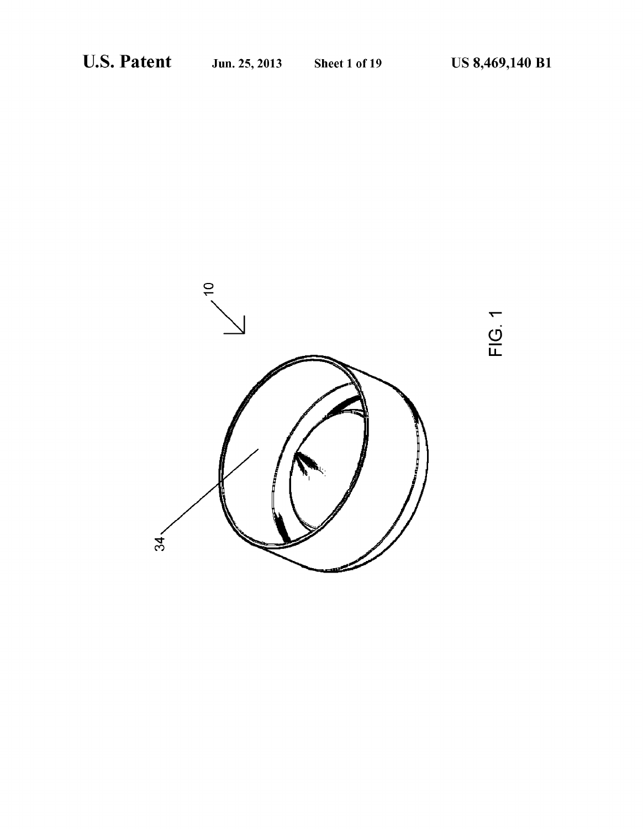

FIG. 1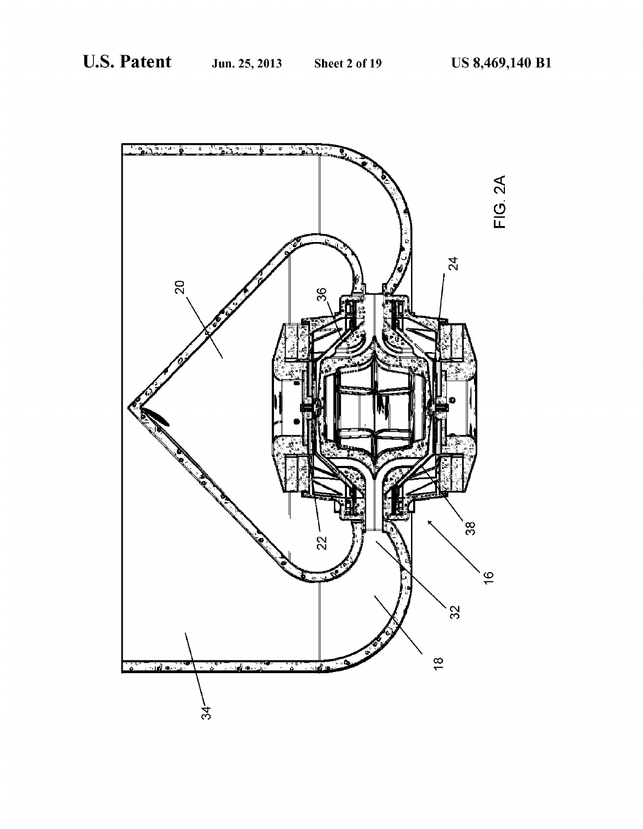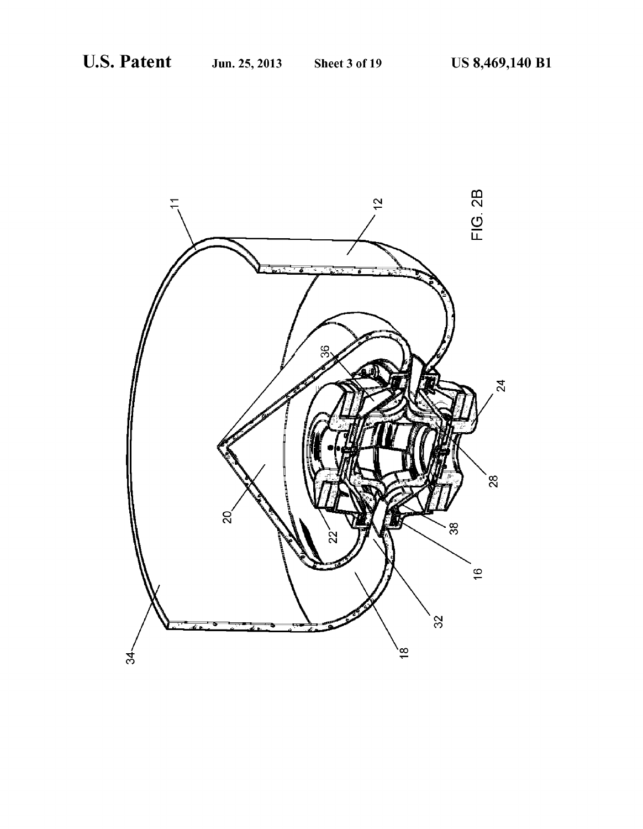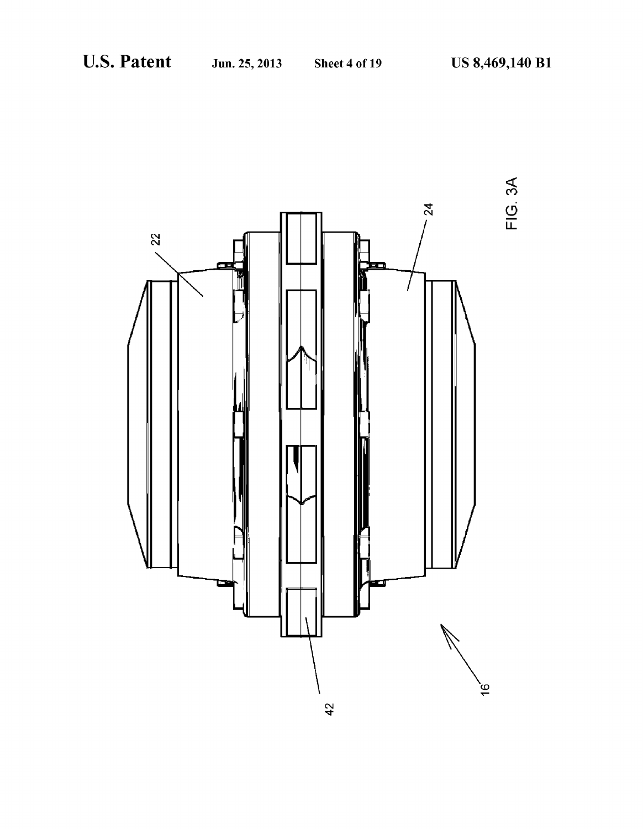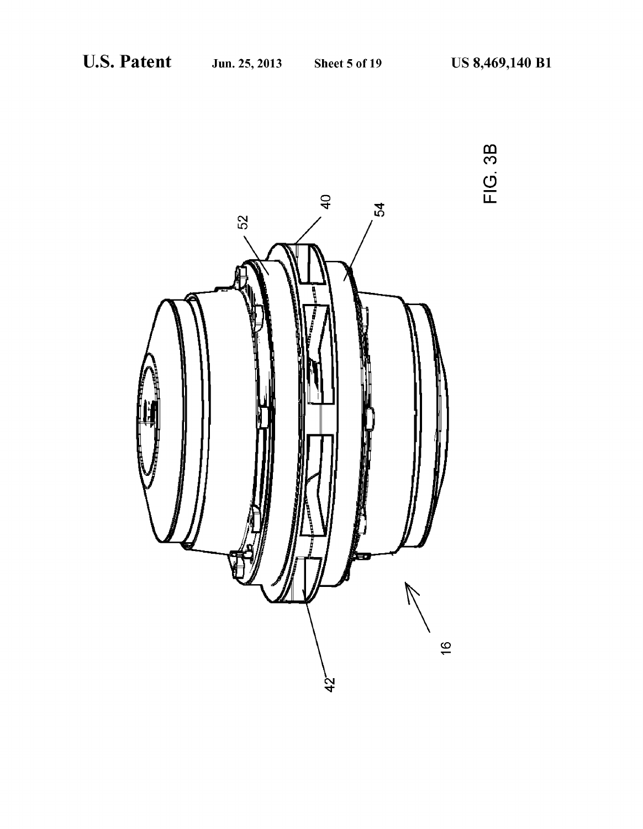

FIG. 3B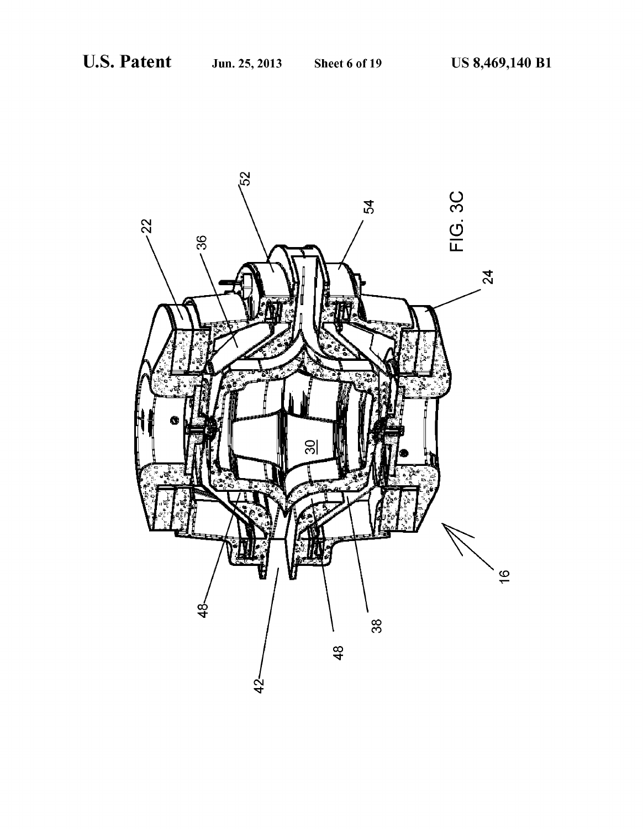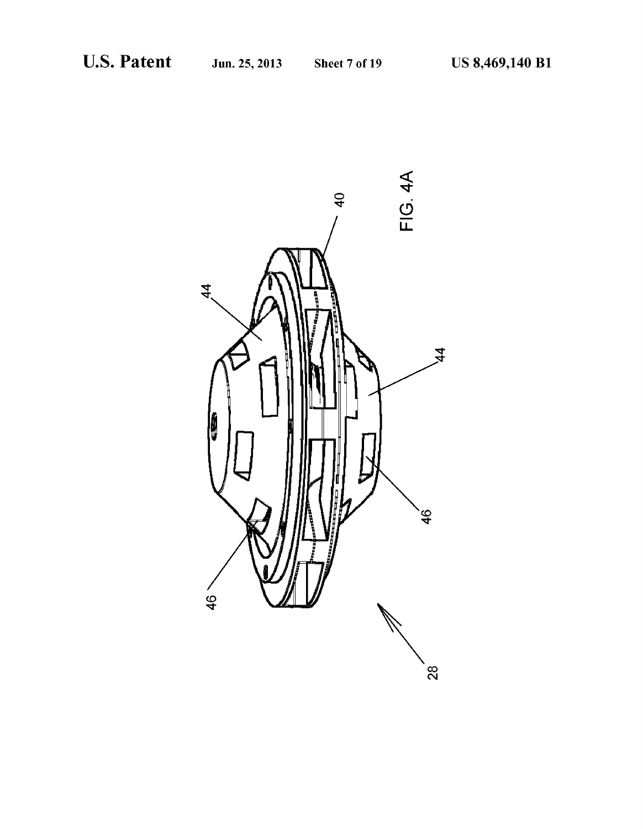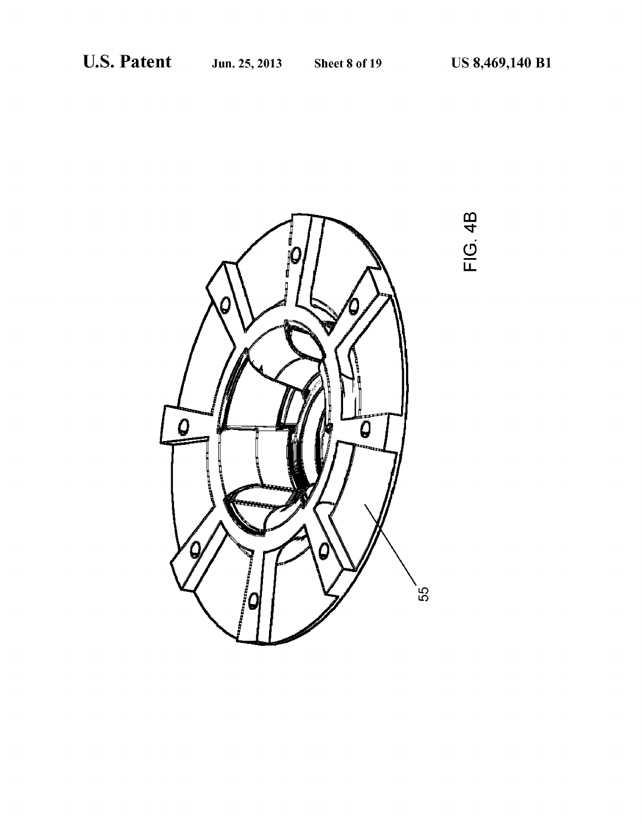

**FIG. 4B**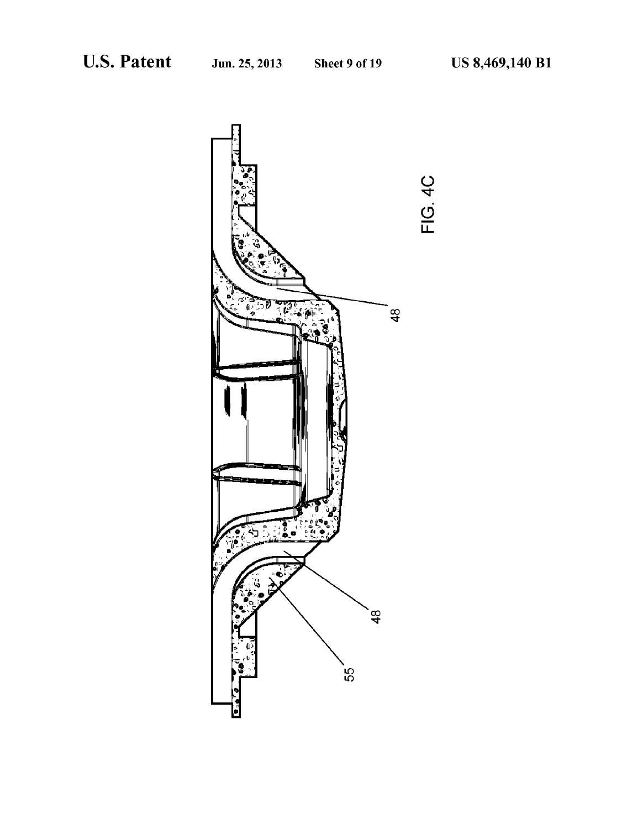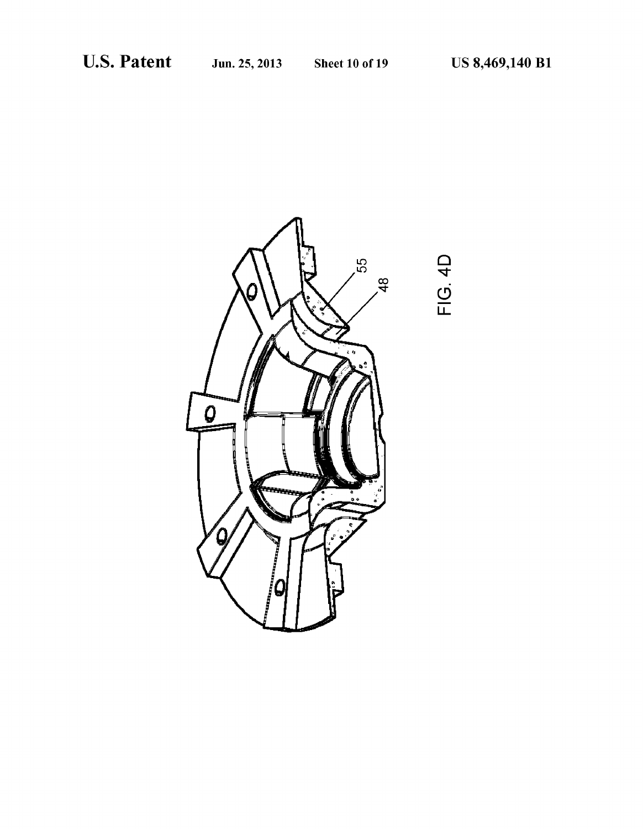FIG. 4D

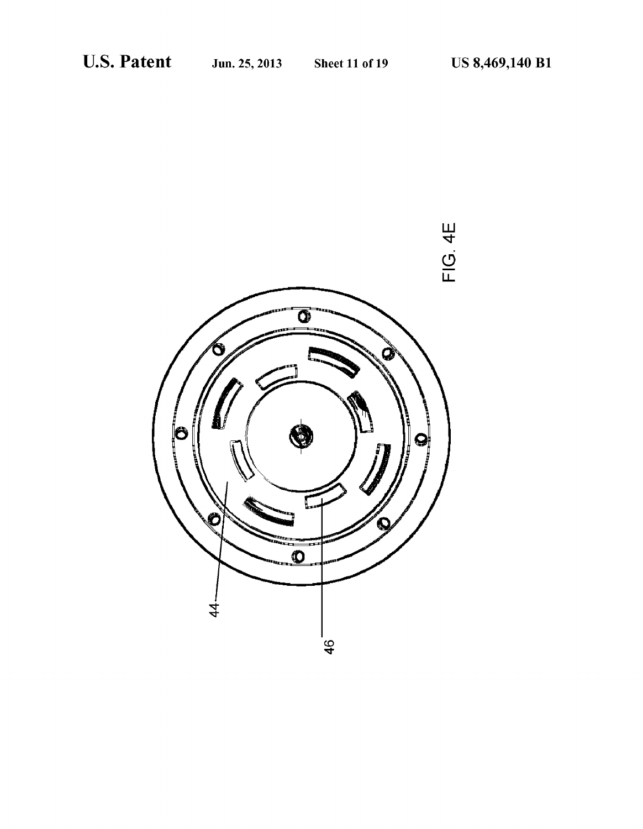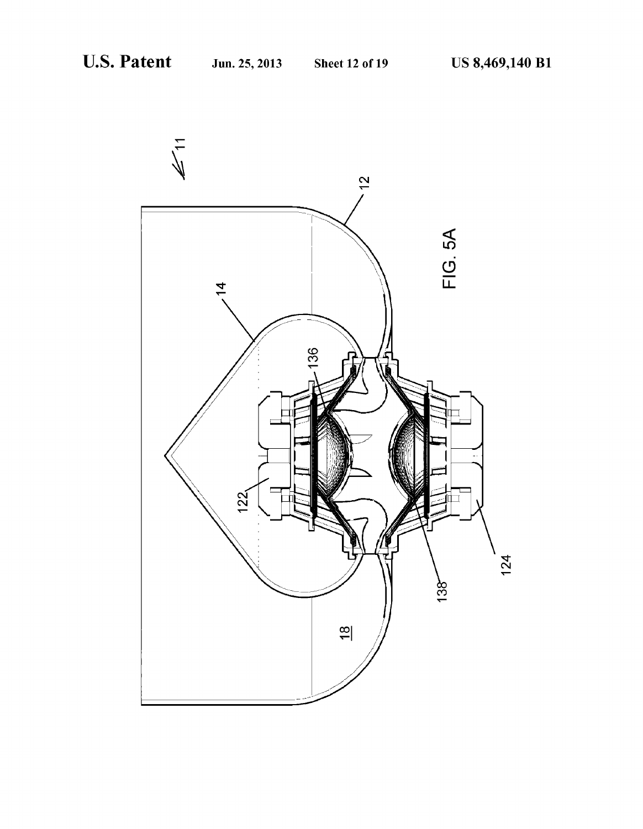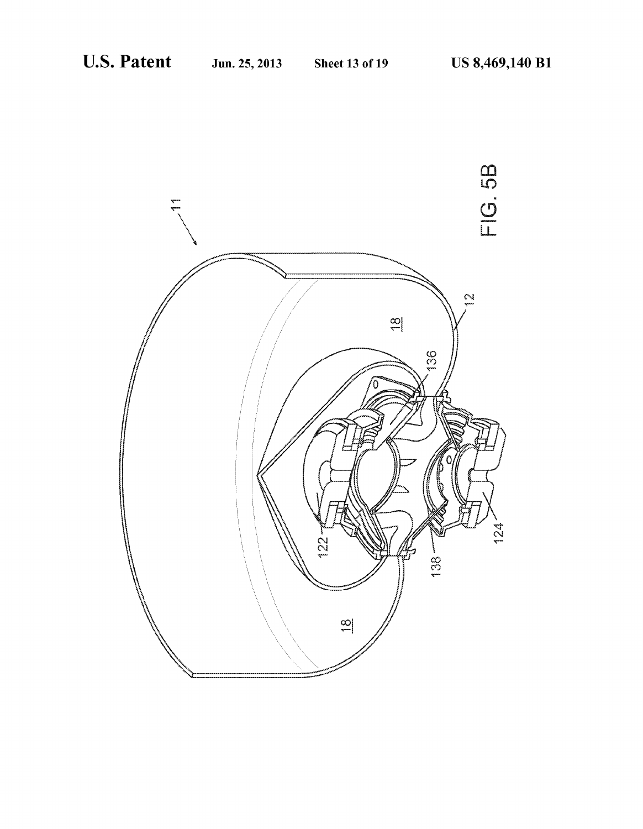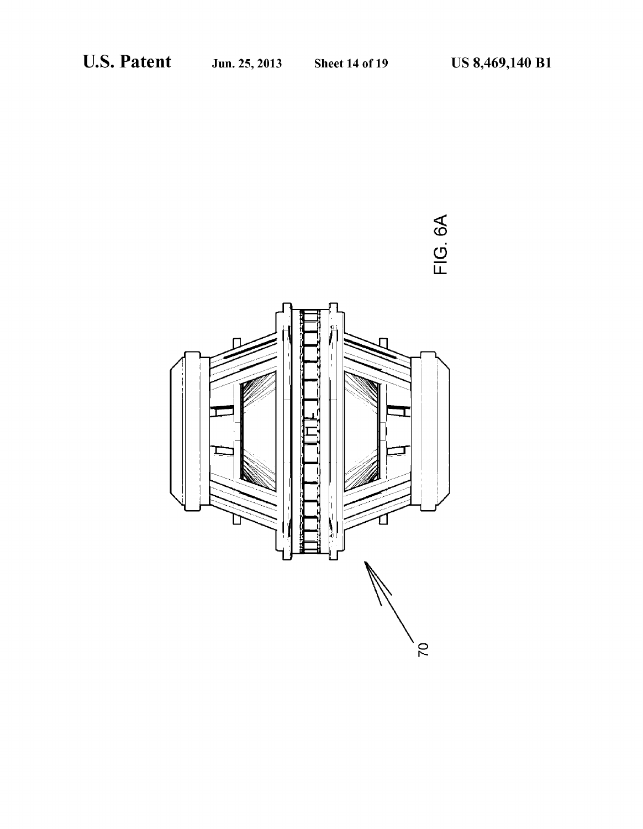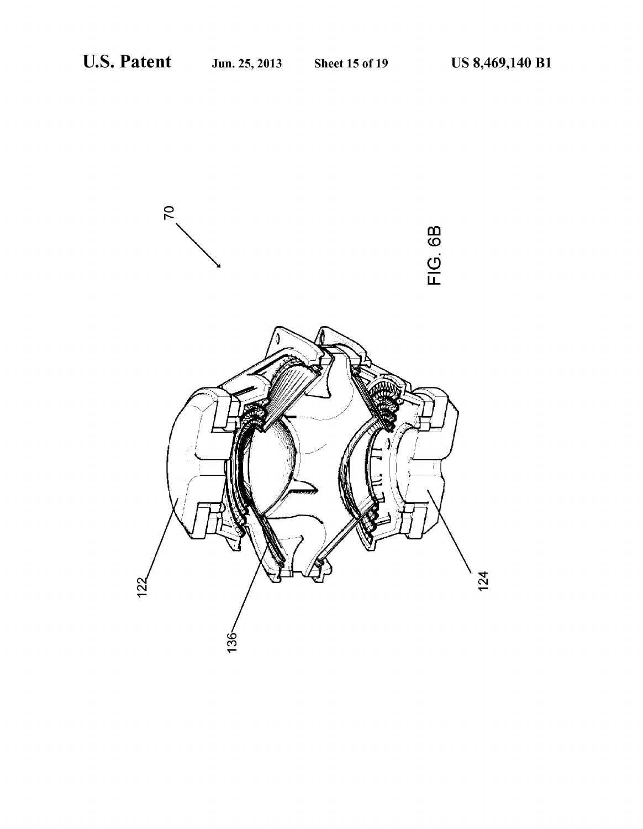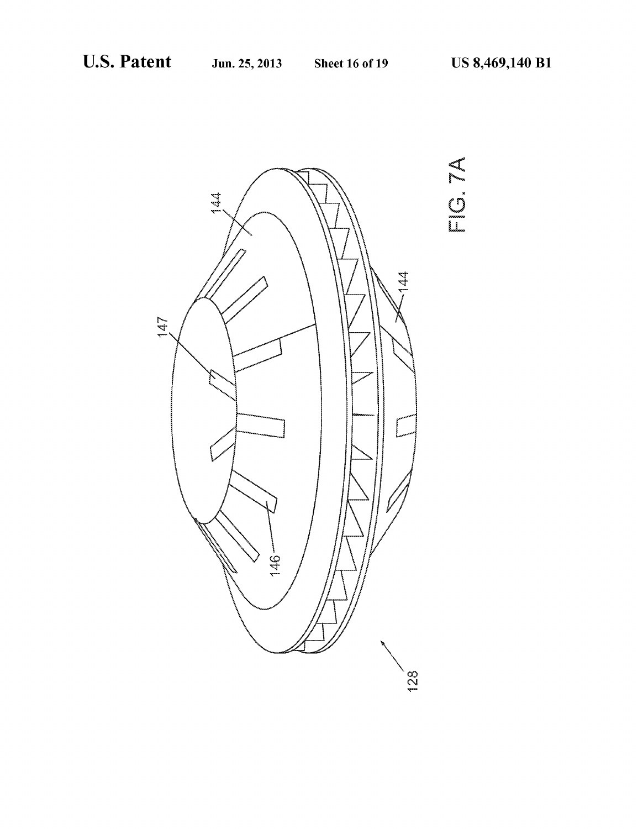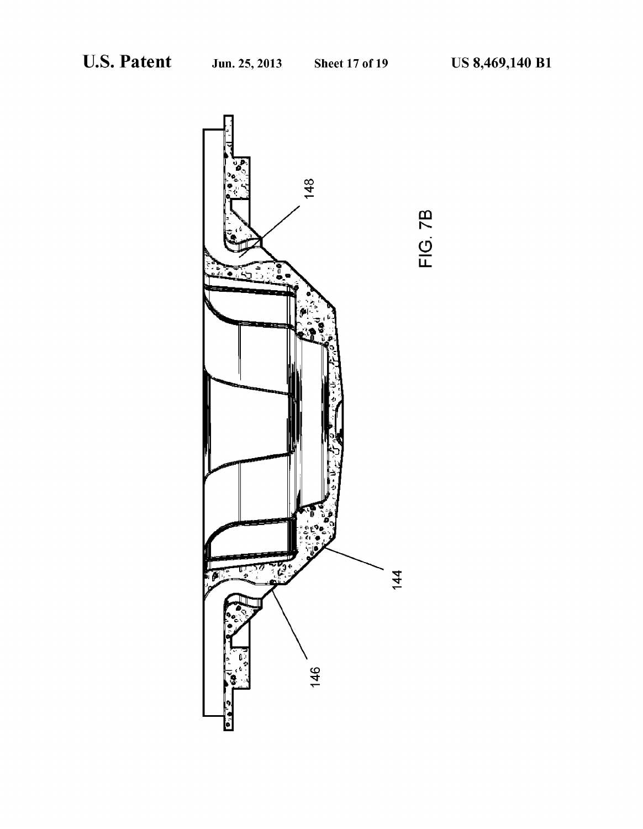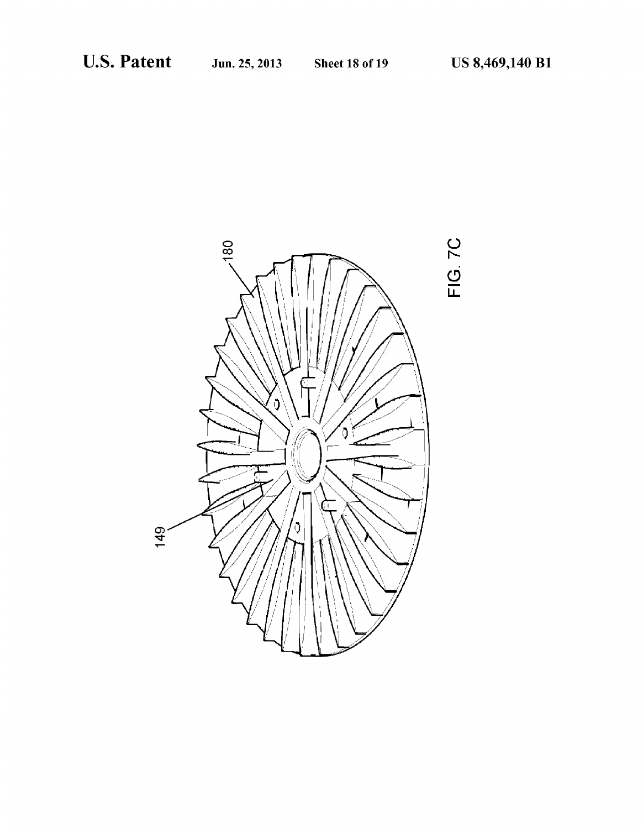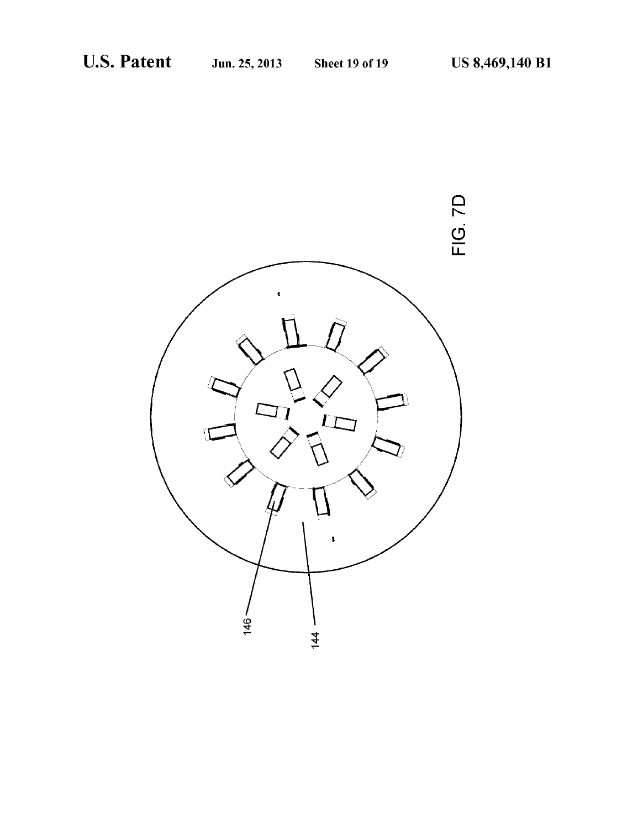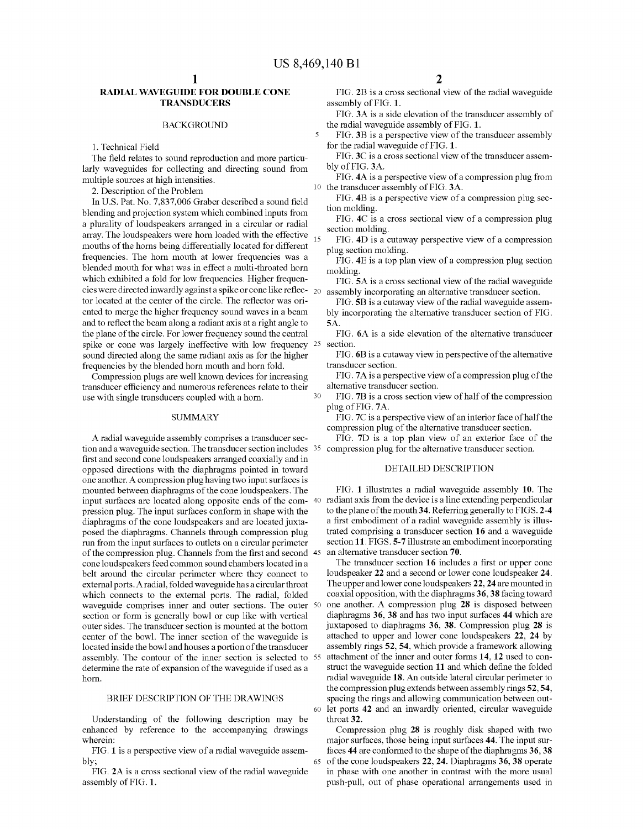$\overline{\mathbf{S}}$ 

### RADIAL WAVEGUIDE FOR DOUBLE CONE **TRANSDUCERS**

### BACKGROUND

1. Technical Field

The field relates to sound reproduction and more particu larly waveguides for collecting and directing sound from multiple sources at high intensities.

2. Description of the Problem

In U.S. Pat. No. 7,837,006 Graber described a sound field blending and projection system which combined inputs from a plurality of loudspeakers arranged in a circular or radial array. The loudspeakers were horn loaded with the effective  $_{15}$ mouths of the horns being differentially located for different frequencies. The horn mouth at lower frequencies was a blended mouth for what was in effect a multi-throated horn which exhibited a fold for low frequencies. Higher frequen cies were directed inwardly against a spike or cone like reflec tor located at the center of the circle. The reflector was ori ented to merge the higher frequency sound waves in a beam and to reflect the beam along a radiant axis at a right angle to the plane of the circle. For lower frequency sound the central spike or cone was largely ineffective with low frequency 25 Sound directed along the same radiant axis as for the higher frequencies by the blended horn mouth and horn fold.

Compression plugs are well known devices for increasing transducer efficiency and numerous references relate to their use with single transducers coupled with a horn. 30

### **SUMMARY**

A radial waveguide assembly comprises a transducer sec tion and a waveguide section. The transducer section includes 35 compression plug for the alternative transducer section. first and second cone loudspeakers arranged coaxially and in opposed directions with the diaphragms pointed in toward one another. A compression plug having two input Surfaces is mounted between diaphragms of the cone loudspeakers. The input surfaces are located along opposite ends of the com-40 radiant axis from the device is a line extending perpendicular pression plug. The input surfaces conform in shape with the diaphragms of the cone loudspeakers and are located juxta-<br>posed the diaphragms. Channels through compression plug run from the input surfaces to outlets on a circular perimeter of the compression plug. Channels from the first and second 45 cone loudspeakers feed common sound chambers located in a belt around the circular perimeter where they connect to external ports. A radial, folded waveguide has a circular throat which connects to the external ports. The radial, folded waveguide comprises inner and outer sections. The outer 50 section or form is generally bowl or cup like with vertical outer sides. The transducer section is mounted at the bottom center of the bowl. The inner section of the waveguide is located inside the bowl and houses a portion of the transducer assembly. The contour of the inner section is selected to 55 determine the rate of expansion of the waveguide if used as a horn.

### BRIEF DESCRIPTION OF THE DRAWINGS

60

65

Understanding of the following description may be enhanced by reference to the accompanying drawings wherein:

FIG. 1 is a perspective view of a radial waveguide assem bly:

FIG. 2A is a cross sectional view of the radial waveguide assembly of FIG. 1.

FIG. 2B is a cross sectional view of the radial waveguide assembly of FIG. 1.

FIG. 3A is a side elevation of the transducer assembly of the radial waveguide assembly of FIG. 1.

FIG. 3B is a perspective view of the transducer assembly for the radial waveguide of FIG. 1.

FIG. 3C is a cross sectional view of the transducer assem bly of FIG. 3A.

10 the transducer assembly of FIG. 3A. FIG. 4A is a perspective view of a compression plug from

FIG. 4B is a perspective view of a compression plug sec tion molding.

FIG. 4C is a cross sectional view of a compression plug section molding.

FIG. 4D is a cutaway perspective view of a compression plug section molding.

FIG. 4E is a top plan view of a compression plug section molding.

FIG. 5A is a cross sectional view of the radial waveguide assembly incorporating an alternative transducer section.

FIG. 5B is a cutaway view of the radial waveguide assem bly incorporating the alternative transducer section of FIG. S.A.

FIG. 6A is a side elevation of the alternative transducer section.

FIG. 6B is a cutaway view in perspective of the alternative transducer section.

FIG. 7A is a perspective view of a compression plug of the alternative transducer section.

FIG. 7B is a cross section view of half of the compression plug of FIG. 7A.

FIG.7C is a perspective view of an interior face of half the compression plug of the alternative transducer section.

FIG. 7D is a top plan view of an exterior face of the

### DETAILED DESCRIPTION

FIG. 1 illustrates a radial waveguide assembly 10. The to the plane of the mouth 34. Referring generally to FIGS. 2-4 a first embodiment of a radial waveguide assembly is illus trated comprising a transducer section 16 and a waveguide section 11. FIGS. 5-7 illustrate an embodiment incorporating an alternative transducer section 70.

The transducer section 16 includes a first or upper cone loudspeaker 22 and a second or lower cone loudspeaker 24. The upper and lower cone loudspeakers 22, 24 are mounted in coaxial opposition, with the diaphragms 36,38 facing toward one another. A compression plug 28 is disposed between diaphragms 36, 38 and has two input surfaces 44 which are juxtaposed to diaphragms 36, 38. Compression plug 28 is attached to upper and lower cone loudspeakers 22, 24 by assembly rings 52, 54, which provide a framework allowing attachment of the inner and outer forms 14, 12 used to con struct the waveguide section 11 and which define the folded radial waveguide 18. An outside lateral circular perimeter to the compression plug extends between assembly rings 52, 54. spacing the rings and allowing communication between out let ports 42 and an inwardly oriented, circular waveguide throat 32.

Compression plug 28 is roughly disk shaped with two major surfaces, those being input surfaces 44. The input surfaces 44 are conformed to the shape of the diaphragms 36,38 of the cone loudspeakers 22, 24. Diaphragms 36, 38 operate in phase with one another in contrast with the more usual push-pull, out of phase operational arrangements used in